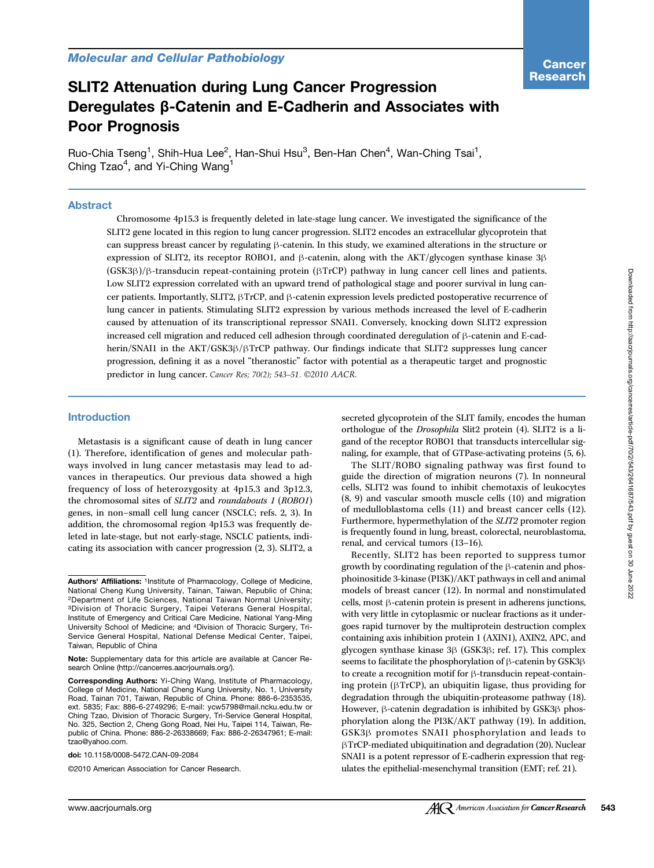# SLIT2 Attenuation during Lung Cancer Progression Deregulates β-Catenin and E-Cadherin and Associates with Poor Prognosis

Ruo-Chia Tseng<sup>1</sup>, Shih-Hua Lee<sup>2</sup>, Han-Shui Hsu<sup>3</sup>, Ben-Han Chen<sup>4</sup>, Wan-Ching Tsai<sup>1</sup>, Ching Tzao<sup>4</sup>, and Yi-Ching Wang<sup>1</sup>

#### Abstract

Chromosome 4p15.3 is frequently deleted in late-stage lung cancer. We investigated the significance of the SLIT2 gene located in this region to lung cancer progression. SLIT2 encodes an extracellular glycoprotein that can suppress breast cancer by regulating β-catenin. In this study, we examined alterations in the structure or expression of SLIT2, its receptor ROBO1, and β-catenin, along with the AKT/glycogen synthase kinase 3β (GSK3β)/β-transducin repeat-containing protein (βTrCP) pathway in lung cancer cell lines and patients. Low SLIT2 expression correlated with an upward trend of pathological stage and poorer survival in lung cancer patients. Importantly, SLIT2, βTrCP, and β-catenin expression levels predicted postoperative recurrence of lung cancer in patients. Stimulating SLIT2 expression by various methods increased the level of E-cadherin caused by attenuation of its transcriptional repressor SNAI1. Conversely, knocking down SLIT2 expression increased cell migration and reduced cell adhesion through coordinated deregulation of β-catenin and E-cadherin/SNAI1 in the AKT/GSK3β/βTrCP pathway. Our findings indicate that SLIT2 suppresses lung cancer progression, defining it as a novel "theranostic" factor with potential as a therapeutic target and prognostic predictor in lung cancer. Cancer Res; 70(2); 543–51. ©2010 AACR.

#### Introduction

Metastasis is a significant cause of death in lung cancer (1). Therefore, identification of genes and molecular pathways involved in lung cancer metastasis may lead to advances in therapeutics. Our previous data showed a high frequency of loss of heterozygosity at 4p15.3 and 3p12.3, the chromosomal sites of SLIT2 and roundabouts 1 (ROBO1) genes, in non–small cell lung cancer (NSCLC; refs. 2, 3). In addition, the chromosomal region 4p15.3 was frequently deleted in late-stage, but not early-stage, NSCLC patients, indicating its association with cancer progression (2, 3). SLIT2, a

doi: 10.1158/0008-5472.CAN-09-2084

©2010 American Association for Cancer Research.

secreted glycoprotein of the SLIT family, encodes the human orthologue of the Drosophila Slit2 protein (4). SLIT2 is a ligand of the receptor ROBO1 that transducts intercellular signaling, for example, that of GTPase-activating proteins (5, 6).

The SLIT/ROBO signaling pathway was first found to guide the direction of migration neurons (7). In nonneural cells, SLIT2 was found to inhibit chemotaxis of leukocytes (8, 9) and vascular smooth muscle cells (10) and migration of medulloblastoma cells (11) and breast cancer cells (12). Furthermore, hypermethylation of the SLIT2 promoter region is frequently found in lung, breast, colorectal, neuroblastoma, renal, and cervical tumors (13–16).

Recently, SLIT2 has been reported to suppress tumor growth by coordinating regulation of the β-catenin and phosphoinositide 3-kinase (PI3K)/AKT pathways in cell and animal models of breast cancer (12). In normal and nonstimulated cells, most β-catenin protein is present in adherens junctions, with very little in cytoplasmic or nuclear fractions as it undergoes rapid turnover by the multiprotein destruction complex containing axis inhibition protein 1 (AXIN1), AXIN2, APC, and glycogen synthase kinase 3β (GSK3β; ref. 17). This complex seems to facilitate the phosphorylation of β-catenin by GSK3β to create a recognition motif for β-transducin repeat-containing protein (βTrCP), an ubiquitin ligase, thus providing for degradation through the ubiquitin-proteasome pathway (18). However, β-catenin degradation is inhibited by GSK3β phosphorylation along the PI3K/AKT pathway (19). In addition, GSK3β promotes SNAI1 phosphorylation and leads to βTrCP-mediated ubiquitination and degradation (20). Nuclear SNAI1 is a potent repressor of E-cadherin expression that regulates the epithelial-mesenchymal transition (EMT; ref. 21).

Authors' Affiliations: 1Institute of Pharmacology, College of Medicine, National Cheng Kung University, Tainan, Taiwan, Republic of China; 2Department of Life Sciences, National Taiwan Normal University; 3Division of Thoracic Surgery, Taipei Veterans General Hospital, Institute of Emergency and Critical Care Medicine, National Yang-Ming University School of Medicine; and 4Division of Thoracic Surgery, Tri-Service General Hospital, National Defense Medical Center, Taipei, Taiwan, Republic of China

Note: Supplementary data for this article are available at Cancer Research Online (http://cancerres.aacrjournals.org/).

Corresponding Authors: Yi-Ching Wang, Institute of Pharmacology, College of Medicine, National Cheng Kung University, No. 1, University Road, Tainan 701, Taiwan, Republic of China. Phone: 886-6-2353535, ext. 5835; Fax: 886-6-2749296; E-mail: ycw5798@mail.ncku.edu.tw or Ching Tzao, Division of Thoracic Surgery, Tri-Service General Hospital, No. 325, Section 2, Cheng Gong Road, Nei Hu, Taipei 114, Taiwan, Republic of China. Phone: 886-2-26338669; Fax: 886-2-26347961; E-mail: tzao@yahoo.com.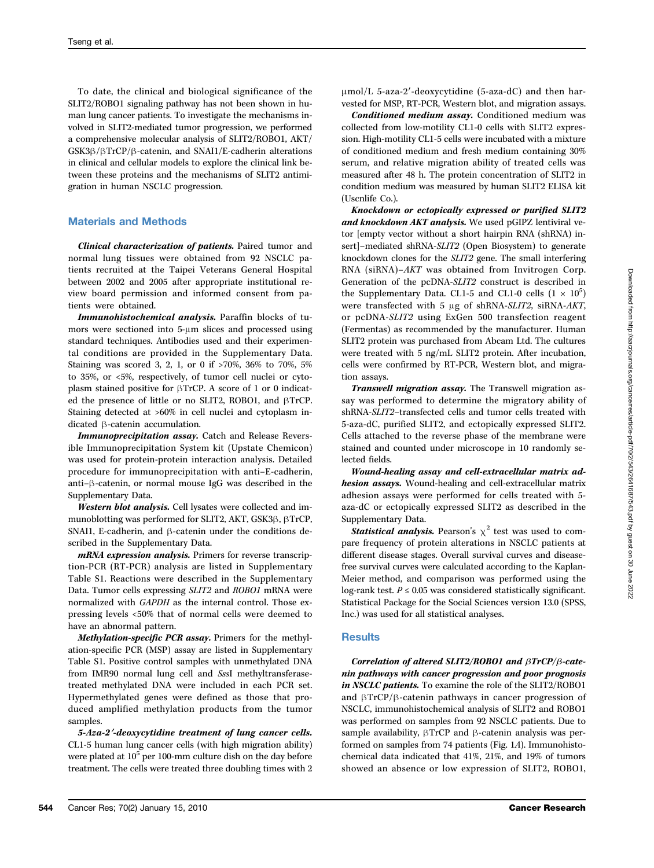To date, the clinical and biological significance of the SLIT2/ROBO1 signaling pathway has not been shown in human lung cancer patients. To investigate the mechanisms involved in SLIT2-mediated tumor progression, we performed a comprehensive molecular analysis of SLIT2/ROBO1, AKT/ GSK3β/βTrCP/β-catenin, and SNAI1/E-cadherin alterations in clinical and cellular models to explore the clinical link between these proteins and the mechanisms of SLIT2 antimigration in human NSCLC progression.

### Materials and Methods

Clinical characterization of patients. Paired tumor and normal lung tissues were obtained from 92 NSCLC patients recruited at the Taipei Veterans General Hospital between 2002 and 2005 after appropriate institutional review board permission and informed consent from patients were obtained.

Immunohistochemical analysis. Paraffin blocks of tumors were sectioned into 5-μm slices and processed using standard techniques. Antibodies used and their experimental conditions are provided in the Supplementary Data. Staining was scored 3, 2, 1, or 0 if >70%, 36% to 70%, 5% to 35%, or <5%, respectively, of tumor cell nuclei or cytoplasm stained positive for βTrCP. A score of 1 or 0 indicated the presence of little or no SLIT2, ROBO1, and βTrCP. Staining detected at >60% in cell nuclei and cytoplasm indicated β-catenin accumulation.

Immunoprecipitation assay. Catch and Release Reversible Immunoprecipitation System kit (Upstate Chemicon) was used for protein-protein interaction analysis. Detailed procedure for immunoprecipitation with anti–E-cadherin, anti–β-catenin, or normal mouse IgG was described in the Supplementary Data.

Western blot analysis. Cell lysates were collected and immunoblotting was performed for SLIT2, AKT, GSK3β, βTrCP, SNAI1, E-cadherin, and β-catenin under the conditions described in the Supplementary Data.

mRNA expression analysis. Primers for reverse transcription-PCR (RT-PCR) analysis are listed in Supplementary Table S1. Reactions were described in the Supplementary Data. Tumor cells expressing SLIT2 and ROBO1 mRNA were normalized with GAPDH as the internal control. Those expressing levels <50% that of normal cells were deemed to have an abnormal pattern.

Methylation-specific PCR assay. Primers for the methylation-specific PCR (MSP) assay are listed in Supplementary Table S1. Positive control samples with unmethylated DNA from IMR90 normal lung cell and SssI methyltransferasetreated methylated DNA were included in each PCR set. Hypermethylated genes were defined as those that produced amplified methylation products from the tumor samples.

5-Aza-2′-deoxycytidine treatment of lung cancer cells. CL1-5 human lung cancer cells (with high migration ability) were plated at  $10<sup>5</sup>$  per 100-mm culture dish on the day before treatment. The cells were treated three doubling times with 2 μmol/L 5-aza-2′-deoxycytidine (5-aza-dC) and then harvested for MSP, RT-PCR, Western blot, and migration assays.

Conditioned medium assay. Conditioned medium was collected from low-motility CL1-0 cells with SLIT2 expression. High-motility CL1-5 cells were incubated with a mixture of conditioned medium and fresh medium containing 30% serum, and relative migration ability of treated cells was measured after 48 h. The protein concentration of SLIT2 in condition medium was measured by human SLIT2 ELISA kit (Uscnlife Co.).

Knockdown or ectopically expressed or purified SLIT2 and knockdown AKT analysis. We used pGIPZ lentiviral vetor [empty vector without a short hairpin RNA (shRNA) insert]–mediated shRNA-SLIT2 (Open Biosystem) to generate knockdown clones for the SLIT2 gene. The small interfering RNA (siRNA)–AKT was obtained from Invitrogen Corp. Generation of the pcDNA-SLIT2 construct is described in the Supplementary Data. CL1-5 and CL1-0 cells  $(1 \times 10^5)$ were transfected with 5 μg of shRNA-SLIT2, siRNA-AKT, or pcDNA-SLIT2 using ExGen 500 transfection reagent (Fermentas) as recommended by the manufacturer. Human SLIT2 protein was purchased from Abcam Ltd. The cultures were treated with 5 ng/mL SLIT2 protein. After incubation, cells were confirmed by RT-PCR, Western blot, and migration assays.

Transwell migration assay. The Transwell migration assay was performed to determine the migratory ability of shRNA-SLIT2–transfected cells and tumor cells treated with 5-aza-dC, purified SLIT2, and ectopically expressed SLIT2. Cells attached to the reverse phase of the membrane were stained and counted under microscope in 10 randomly selected fields.

Wound-healing assay and cell-extracellular matrix adhesion assays. Wound-healing and cell-extracellular matrix adhesion assays were performed for cells treated with 5 aza-dC or ectopically expressed SLIT2 as described in the Supplementary Data.

**Statistical analysis.** Pearson's  $\chi^2$  test was used to compare frequency of protein alterations in NSCLC patients at different disease stages. Overall survival curves and diseasefree survival curves were calculated according to the Kaplan-Meier method, and comparison was performed using the log-rank test.  $P \le 0.05$  was considered statistically significant. Statistical Package for the Social Sciences version 13.0 (SPSS, Inc.) was used for all statistical analyses.

#### **Results**

Correlation of altered SLIT2/ROBO1 and βTrCP/β-catenin pathways with cancer progression and poor prognosis in NSCLC patients. To examine the role of the SLIT2/ROBO1 and βTrCP/β-catenin pathways in cancer progression of NSCLC, immunohistochemical analysis of SLIT2 and ROBO1 was performed on samples from 92 NSCLC patients. Due to sample availability, βTrCP and β-catenin analysis was performed on samples from 74 patients (Fig. 1A). Immunohistochemical data indicated that 41%, 21%, and 19% of tumors showed an absence or low expression of SLIT2, ROBO1,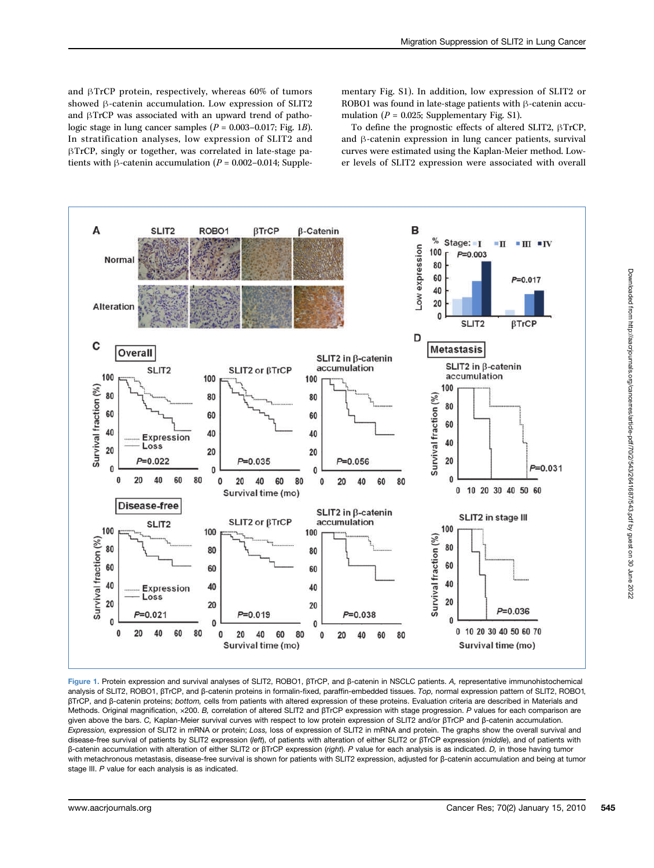and βTrCP protein, respectively, whereas 60% of tumors showed β-catenin accumulation. Low expression of SLIT2 and βTrCP was associated with an upward trend of pathologic stage in lung cancer samples  $(P = 0.003 - 0.017$ ; Fig. 1B). In stratification analyses, low expression of SLIT2 and βTrCP, singly or together, was correlated in late-stage patients with β-catenin accumulation ( $P = 0.002 - 0.014$ ; Supplementary Fig. S1). In addition, low expression of SLIT2 or ROBO1 was found in late-stage patients with β-catenin accumulation ( $P = 0.025$ ; Supplementary Fig. S1).

To define the prognostic effects of altered SLIT2, βTrCP, and β-catenin expression in lung cancer patients, survival curves were estimated using the Kaplan-Meier method. Lower levels of SLIT2 expression were associated with overall



Figure 1. Protein expression and survival analyses of SLIT2, ROBO1, βTrCP, and β-catenin in NSCLC patients. A, representative immunohistochemical analysis of SLIT2, ROBO1, βTrCP, and β-catenin proteins in formalin-fixed, paraffin-embedded tissues. Top, normal expression pattern of SLIT2, ROBO1, βTrCP, and β-catenin proteins; bottom, cells from patients with altered expression of these proteins. Evaluation criteria are described in Materials and Methods. Original magnification, ×200. B, correlation of altered SLIT2 and βTrCP expression with stage progression. P values for each comparison are given above the bars. C, Kaplan-Meier survival curves with respect to low protein expression of SLIT2 and/or βTrCP and β-catenin accumulation. Expression, expression of SLIT2 in mRNA or protein; Loss, loss of expression of SLIT2 in mRNA and protein. The graphs show the overall survival and disease-free survival of patients by SLIT2 expression (left), of patients with alteration of either SLIT2 or βTrCP expression (middle), and of patients with β-catenin accumulation with alteration of either SLIT2 or βTrCP expression (right). P value for each analysis is as indicated. D, in those having tumor with metachronous metastasis, disease-free survival is shown for patients with SLIT2 expression, adjusted for β-catenin accumulation and being at tumor stage III. P value for each analysis is as indicated.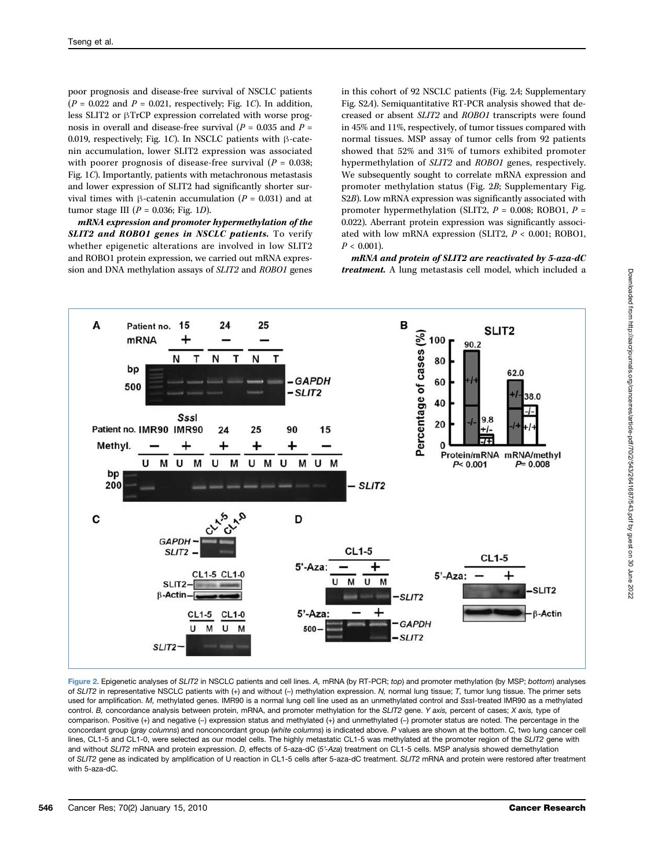poor prognosis and disease-free survival of NSCLC patients  $(P = 0.022$  and  $P = 0.021$ , respectively; Fig. 1C). In addition, less SLIT2 or βTrCP expression correlated with worse prognosis in overall and disease-free survival ( $P = 0.035$  and  $P =$ 0.019, respectively; Fig. 1C). In NSCLC patients with β-catenin accumulation, lower SLIT2 expression was associated with poorer prognosis of disease-free survival ( $P = 0.038$ ; Fig. 1C). Importantly, patients with metachronous metastasis and lower expression of SLIT2 had significantly shorter survival times with β-catenin accumulation ( $P = 0.031$ ) and at tumor stage III ( $P = 0.036$ ; Fig. 1D).

mRNA expression and promoter hypermethylation of the SLIT2 and ROBO1 genes in NSCLC patients. To verify whether epigenetic alterations are involved in low SLIT2 and ROBO1 protein expression, we carried out mRNA expression and DNA methylation assays of SLIT2 and ROBO1 genes

in this cohort of 92 NSCLC patients (Fig. 2A; Supplementary Fig. S2A). Semiquantitative RT-PCR analysis showed that decreased or absent SLIT2 and ROBO1 transcripts were found in 45% and 11%, respectively, of tumor tissues compared with normal tissues. MSP assay of tumor cells from 92 patients showed that 52% and 31% of tumors exhibited promoter hypermethylation of SLIT2 and ROBO1 genes, respectively. We subsequently sought to correlate mRNA expression and promoter methylation status (Fig. 2B; Supplementary Fig. S2B). Low mRNA expression was significantly associated with promoter hypermethylation (SLIT2,  $P = 0.008$ ; ROBO1,  $P =$ 0.022). Aberrant protein expression was significantly associated with low mRNA expression (SLIT2,  $P < 0.001$ ; ROBO1,  $P < 0.001$ ).

mRNA and protein of SLIT2 are reactivated by 5-aza-dC treatment. A lung metastasis cell model, which included a



Figure 2. Epigenetic analyses of SLIT2 in NSCLC patients and cell lines. A, mRNA (by RT-PCR; top) and promoter methylation (by MSP; bottom) analyses of SLIT2 in representative NSCLC patients with (+) and without (−) methylation expression. N, normal lung tissue; T, tumor lung tissue. The primer sets used for amplification. M, methylated genes. IMR90 is a normal lung cell line used as an unmethylated control and SssI-treated IMR90 as a methylated control. B, concordance analysis between protein, mRNA, and promoter methylation for the SLIT2 gene. Y axis, percent of cases; X axis, type of comparison. Positive (+) and negative (−) expression status and methylated (+) and unmethylated (−) promoter status are noted. The percentage in the concordant group (gray columns) and nonconcordant group (white columns) is indicated above. P values are shown at the bottom. C, two lung cancer cell lines, CL1-5 and CL1-0, were selected as our model cells. The highly metastatic CL1-5 was methylated at the promoter region of the SLIT2 gene with and without SLIT2 mRNA and protein expression. D, effects of 5-aza-dC (5'-Aza) treatment on CL1-5 cells. MSP analysis showed demethylation of SLIT2 gene as indicated by amplification of U reaction in CL1-5 cells after 5-aza-dC treatment. SLIT2 mRNA and protein were restored after treatment with 5-aza-dC.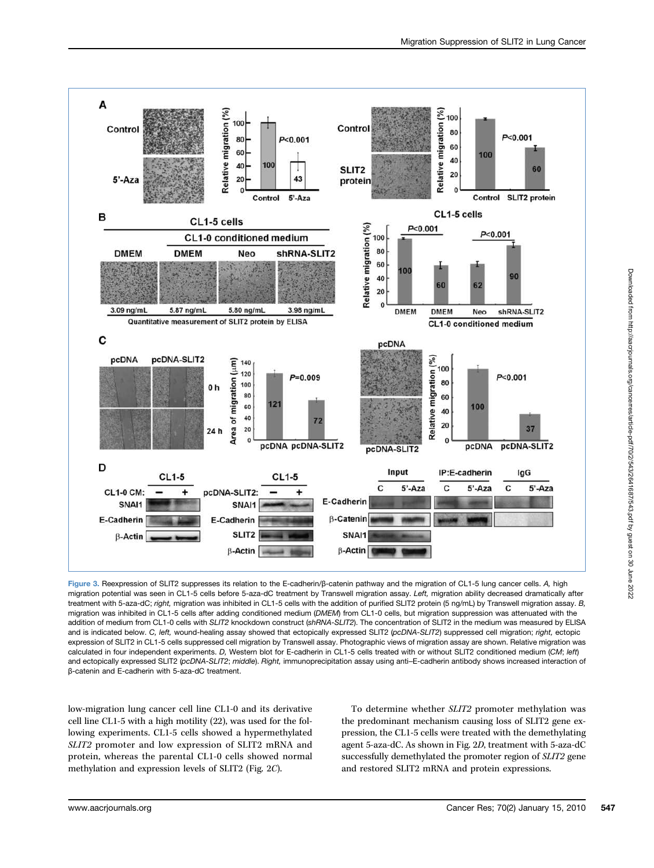

Figure 3. Reexpression of SLIT2 suppresses its relation to the E-cadherin/β-catenin pathway and the migration of CL1-5 lung cancer cells. A, high migration potential was seen in CL1-5 cells before 5-aza-dC treatment by Transwell migration assay. Left, migration ability decreased dramatically after treatment with 5-aza-dC; right, migration was inhibited in CL1-5 cells with the addition of purified SLIT2 protein (5 ng/mL) by Transwell migration assay. B, migration was inhibited in CL1-5 cells after adding conditioned medium (DMEM) from CL1-0 cells, but migration suppression was attenuated with the addition of medium from CL1-0 cells with SLIT2 knockdown construct (shRNA-SLIT2). The concentration of SLIT2 in the medium was measured by ELISA and is indicated below. C, left, wound-healing assay showed that ectopically expressed SLIT2 (pcDNA-SLIT2) suppressed cell migration; right, ectopic expression of SLIT2 in CL1-5 cells suppressed cell migration by Transwell assay. Photographic views of migration assay are shown. Relative migration was calculated in four independent experiments. D, Western blot for E-cadherin in CL1-5 cells treated with or without SLIT2 conditioned medium (CM; left) and ectopically expressed SLIT2 (pcDNA-SLIT2; middle). Right, immunoprecipitation assay using anti-E-cadherin antibody shows increased interaction of β-catenin and E-cadherin with 5-aza-dC treatment.

low-migration lung cancer cell line CL1-0 and its derivative cell line CL1-5 with a high motility (22), was used for the following experiments. CL1-5 cells showed a hypermethylated SLIT2 promoter and low expression of SLIT2 mRNA and protein, whereas the parental CL1-0 cells showed normal methylation and expression levels of SLIT2 (Fig. 2C).

To determine whether SLIT2 promoter methylation was the predominant mechanism causing loss of SLIT2 gene expression, the CL1-5 cells were treated with the demethylating agent 5-aza-dC. As shown in Fig. 2D, treatment with 5-aza-dC successfully demethylated the promoter region of SLIT2 gene and restored SLIT2 mRNA and protein expressions.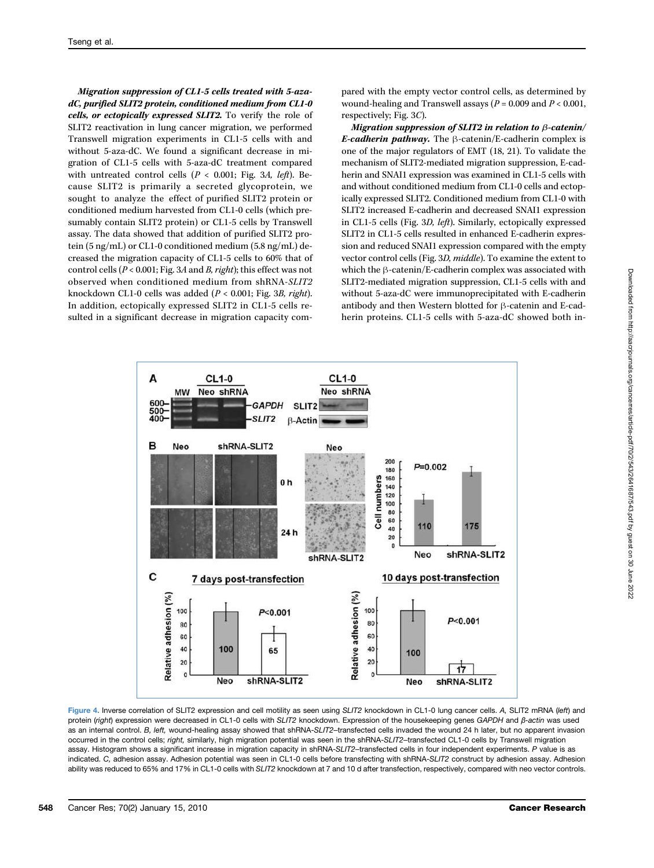Migration suppression of CL1-5 cells treated with 5-azadC, purified SLIT2 protein, conditioned medium from CL1-0 cells, or ectopically expressed SLIT2. To verify the role of SLIT2 reactivation in lung cancer migration, we performed Transwell migration experiments in CL1-5 cells with and without 5-aza-dC. We found a significant decrease in migration of CL1-5 cells with 5-aza-dC treatment compared with untreated control cells ( $P < 0.001$ ; Fig. 3A, left). Because SLIT2 is primarily a secreted glycoprotein, we sought to analyze the effect of purified SLIT2 protein or conditioned medium harvested from CL1-0 cells (which presumably contain SLIT2 protein) or CL1-5 cells by Transwell assay. The data showed that addition of purified SLIT2 protein (5 ng/mL) or CL1-0 conditioned medium (5.8 ng/mL) decreased the migration capacity of CL1-5 cells to 60% that of control cells (P < 0.001; Fig. 3A and B, right); this effect was not observed when conditioned medium from shRNA-SLIT2 knockdown CL1-0 cells was added (P < 0.001; Fig. 3B, right). In addition, ectopically expressed SLIT2 in CL1-5 cells resulted in a significant decrease in migration capacity compared with the empty vector control cells, as determined by wound-healing and Transwell assays ( $P = 0.009$  and  $P < 0.001$ , respectively; Fig. 3C).

Migration suppression of SLIT2 in relation to β-catenin/ E-cadherin pathway. The  $\beta$ -catenin/E-cadherin complex is one of the major regulators of EMT (18, 21). To validate the mechanism of SLIT2-mediated migration suppression, E-cadherin and SNAI1 expression was examined in CL1-5 cells with and without conditioned medium from CL1-0 cells and ectopically expressed SLIT2. Conditioned medium from CL1-0 with SLIT2 increased E-cadherin and decreased SNAI1 expression in CL1-5 cells (Fig. 3D, left). Similarly, ectopically expressed SLIT2 in CL1-5 cells resulted in enhanced E-cadherin expression and reduced SNAI1 expression compared with the empty vector control cells (Fig. 3D, middle). To examine the extent to which the β-catenin/E-cadherin complex was associated with SLIT2-mediated migration suppression, CL1-5 cells with and without 5-aza-dC were immunoprecipitated with E-cadherin antibody and then Western blotted for β-catenin and E-cadherin proteins. CL1-5 cells with 5-aza-dC showed both in-



Figure 4. Inverse correlation of SLIT2 expression and cell motility as seen using SLIT2 knockdown in CL1-0 lung cancer cells. A, SLIT2 mRNA (left) and protein (right) expression were decreased in CL1-0 cells with SLIT2 knockdown. Expression of the housekeeping genes GAPDH and β-actin was used as an internal control. B, left, wound-healing assay showed that shRNA-SLIT2-transfected cells invaded the wound 24 h later, but no apparent invasion occurred in the control cells; right, similarly, high migration potential was seen in the shRNA-SLIT2-transfected CL1-0 cells by Transwell migration assay. Histogram shows a significant increase in migration capacity in shRNA-SLIT2-transfected cells in four independent experiments. P value is as indicated. C, adhesion assay. Adhesion potential was seen in CL1-0 cells before transfecting with shRNA-SLIT2 construct by adhesion assay. Adhesion ability was reduced to 65% and 17% in CL1-0 cells with SLIT2 knockdown at 7 and 10 d after transfection, respectively, compared with neo vector controls.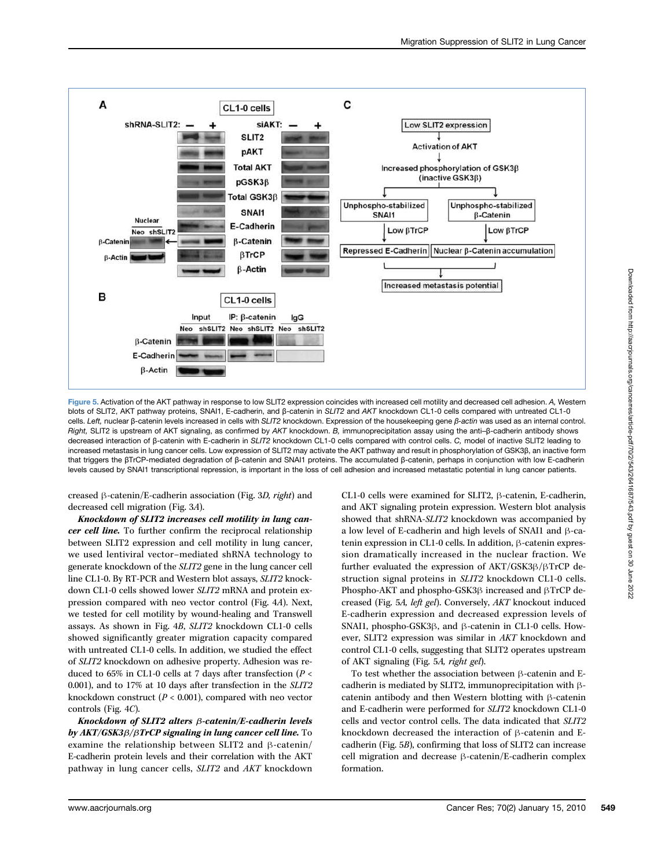

Figure 5. Activation of the AKT pathway in response to low SLIT2 expression coincides with increased cell motility and decreased cell adhesion. A, Western blots of SLIT2, AKT pathway proteins, SNAI1, E-cadherin, and β-catenin in SLIT2 and AKT knockdown CL1-0 cells compared with untreated CL1-0 cells. Left, nuclear β-catenin levels increased in cells with SLIT2 knockdown. Expression of the housekeeping gene β-actin was used as an internal control. Right, SLIT2 is upstream of AKT signaling, as confirmed by AKT knockdown. B, immunoprecipitation assay using the anti–β-cadherin antibody shows decreased interaction of β-catenin with E-cadherin in SLIT2 knockdown CL1-0 cells compared with control cells. C, model of inactive SLIT2 leading to increased metastasis in lung cancer cells. Low expression of SLIT2 may activate the AKT pathway and result in phosphorylation of GSK3β, an inactive form that triggers the βTrCP-mediated degradation of β-catenin and SNAI1 proteins. The accumulated β-catenin, perhaps in conjunction with low E-cadherin levels caused by SNAI1 transcriptional repression, is important in the loss of cell adhesion and increased metastatic potential in lung cancer patients.

creased β-catenin/E-cadherin association (Fig. 3D, right) and decreased cell migration (Fig. 3A).

Knockdown of SLIT2 increases cell motility in lung cancer cell line. To further confirm the reciprocal relationship between SLIT2 expression and cell motility in lung cancer, we used lentiviral vector–mediated shRNA technology to generate knockdown of the SLIT2 gene in the lung cancer cell line CL1-0. By RT-PCR and Western blot assays, SLIT2 knockdown CL1-0 cells showed lower SLIT2 mRNA and protein expression compared with neo vector control (Fig. 4A). Next, we tested for cell motility by wound-healing and Transwell assays. As shown in Fig. 4B, SLIT2 knockdown CL1-0 cells showed significantly greater migration capacity compared with untreated CL1-0 cells. In addition, we studied the effect of SLIT2 knockdown on adhesive property. Adhesion was reduced to 65% in CL1-0 cells at 7 days after transfection ( $P <$ 0.001), and to 17% at 10 days after transfection in the SLIT2 knockdown construct ( $P < 0.001$ ), compared with neo vector controls (Fig. 4C).

Knockdown of SLIT2 alters β-catenin/E-cadherin levels by AKT/GSK3β/βTrCP signaling in lung cancer cell line. To examine the relationship between SLIT2 and β-catenin/ E-cadherin protein levels and their correlation with the AKT pathway in lung cancer cells, SLIT2 and AKT knockdown

CL1-0 cells were examined for SLIT2, β-catenin, E-cadherin, and AKT signaling protein expression. Western blot analysis showed that shRNA-SLIT2 knockdown was accompanied by a low level of E-cadherin and high levels of SNAI1 and β-catenin expression in CL1-0 cells. In addition, β-catenin expression dramatically increased in the nuclear fraction. We further evaluated the expression of AKT/GSK3β/βTrCP destruction signal proteins in SLIT2 knockdown CL1-0 cells. Phospho-AKT and phospho-GSK3β increased and βTrCP decreased (Fig. 5A, left gel). Conversely, AKT knockout induced E-cadherin expression and decreased expression levels of SNAI1, phospho-GSK3β, and β-catenin in CL1-0 cells. However, SLIT2 expression was similar in AKT knockdown and control CL1-0 cells, suggesting that SLIT2 operates upstream of AKT signaling (Fig. 5A, right gel).

To test whether the association between β-catenin and Ecadherin is mediated by SLIT2, immunoprecipitation with βcatenin antibody and then Western blotting with β-catenin and E-cadherin were performed for SLIT2 knockdown CL1-0 cells and vector control cells. The data indicated that SLIT2 knockdown decreased the interaction of β-catenin and Ecadherin (Fig. 5B), confirming that loss of SLIT2 can increase cell migration and decrease β-catenin/E-cadherin complex formation.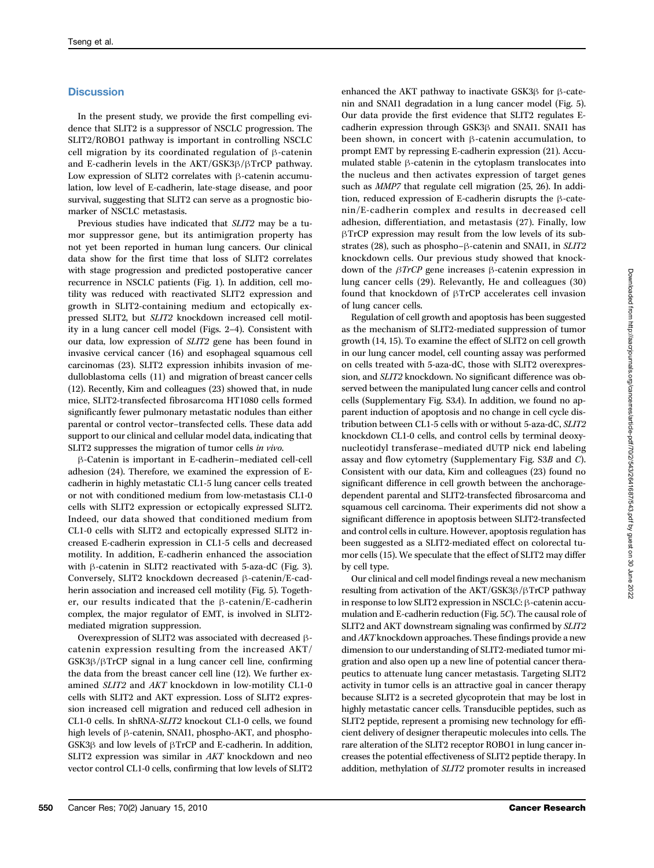## **Discussion**

In the present study, we provide the first compelling evidence that SLIT2 is a suppressor of NSCLC progression. The SLIT2/ROBO1 pathway is important in controlling NSCLC cell migration by its coordinated regulation of β-catenin and E-cadherin levels in the AKT/GSK3β/βTrCP pathway. Low expression of SLIT2 correlates with β-catenin accumulation, low level of E-cadherin, late-stage disease, and poor survival, suggesting that SLIT2 can serve as a prognostic biomarker of NSCLC metastasis.

Previous studies have indicated that SLIT2 may be a tumor suppressor gene, but its antimigration property has not yet been reported in human lung cancers. Our clinical data show for the first time that loss of SLIT2 correlates with stage progression and predicted postoperative cancer recurrence in NSCLC patients (Fig. 1). In addition, cell motility was reduced with reactivated SLIT2 expression and growth in SLIT2-containing medium and ectopically expressed SLIT2, but SLIT2 knockdown increased cell motility in a lung cancer cell model (Figs. 2–4). Consistent with our data, low expression of SLIT2 gene has been found in invasive cervical cancer (16) and esophageal squamous cell carcinomas (23). SLIT2 expression inhibits invasion of medulloblastoma cells (11) and migration of breast cancer cells (12). Recently, Kim and colleagues (23) showed that, in nude mice, SLIT2-transfected fibrosarcoma HT1080 cells formed significantly fewer pulmonary metastatic nodules than either parental or control vector–transfected cells. These data add support to our clinical and cellular model data, indicating that SLIT2 suppresses the migration of tumor cells in vivo.

β-Catenin is important in E-cadherin–mediated cell-cell adhesion (24). Therefore, we examined the expression of Ecadherin in highly metastatic CL1-5 lung cancer cells treated or not with conditioned medium from low-metastasis CL1-0 cells with SLIT2 expression or ectopically expressed SLIT2. Indeed, our data showed that conditioned medium from CL1-0 cells with SLIT2 and ectopically expressed SLIT2 increased E-cadherin expression in CL1-5 cells and decreased motility. In addition, E-cadherin enhanced the association with β-catenin in SLIT2 reactivated with 5-aza-dC (Fig. 3). Conversely, SLIT2 knockdown decreased β-catenin/E-cadherin association and increased cell motility (Fig. 5). Together, our results indicated that the β-catenin/E-cadherin complex, the major regulator of EMT, is involved in SLIT2 mediated migration suppression.

Overexpression of SLIT2 was associated with decreased βcatenin expression resulting from the increased AKT/ GSK3β/βTrCP signal in a lung cancer cell line, confirming the data from the breast cancer cell line (12). We further examined SLIT2 and AKT knockdown in low-motility CL1-0 cells with SLIT2 and AKT expression. Loss of SLIT2 expression increased cell migration and reduced cell adhesion in CL1-0 cells. In shRNA-SLIT2 knockout CL1-0 cells, we found high levels of β-catenin, SNAI1, phospho-AKT, and phospho-GSK3β and low levels of βTrCP and E-cadherin. In addition, SLIT2 expression was similar in AKT knockdown and neo vector control CL1-0 cells, confirming that low levels of SLIT2

enhanced the AKT pathway to inactivate GSK3β for β-catenin and SNAI1 degradation in a lung cancer model (Fig. 5). Our data provide the first evidence that SLIT2 regulates Ecadherin expression through GSK3β and SNAI1. SNAI1 has been shown, in concert with β-catenin accumulation, to prompt EMT by repressing E-cadherin expression (21). Accumulated stable β-catenin in the cytoplasm translocates into the nucleus and then activates expression of target genes such as MMP7 that regulate cell migration (25, 26). In addition, reduced expression of E-cadherin disrupts the β-catenin/E-cadherin complex and results in decreased cell adhesion, differentiation, and metastasis (27). Finally, low βTrCP expression may result from the low levels of its substrates (28), such as phospho–β-catenin and SNAI1, in SLIT2 knockdown cells. Our previous study showed that knockdown of the βTrCP gene increases β-catenin expression in lung cancer cells (29). Relevantly, He and colleagues (30) found that knockdown of βTrCP accelerates cell invasion of lung cancer cells.

Regulation of cell growth and apoptosis has been suggested as the mechanism of SLIT2-mediated suppression of tumor growth (14, 15). To examine the effect of SLIT2 on cell growth in our lung cancer model, cell counting assay was performed on cells treated with 5-aza-dC, those with SLIT2 overexpression, and SLIT2 knockdown. No significant difference was observed between the manipulated lung cancer cells and control cells (Supplementary Fig. S3A). In addition, we found no apparent induction of apoptosis and no change in cell cycle distribution between CL1-5 cells with or without 5-aza-dC, SLIT2 knockdown CL1-0 cells, and control cells by terminal deoxynucleotidyl transferase–mediated dUTP nick end labeling assay and flow cytometry (Supplementary Fig. S3B and C). Consistent with our data, Kim and colleagues (23) found no significant difference in cell growth between the anchoragedependent parental and SLIT2-transfected fibrosarcoma and squamous cell carcinoma. Their experiments did not show a significant difference in apoptosis between SLIT2-transfected and control cells in culture. However, apoptosis regulation has been suggested as a SLIT2-mediated effect on colorectal tumor cells (15). We speculate that the effect of SLIT2 may differ by cell type.

Our clinical and cell model findings reveal a new mechanism resulting from activation of the AKT/GSK3β/βTrCP pathway in response to low SLIT2 expression in NSCLC: β-catenin accumulation and E-cadherin reduction (Fig. 5C). The causal role of SLIT2 and AKT downstream signaling was confirmed by SLIT2 and AKT knockdown approaches. These findings provide a new dimension to our understanding of SLIT2-mediated tumor migration and also open up a new line of potential cancer therapeutics to attenuate lung cancer metastasis. Targeting SLIT2 activity in tumor cells is an attractive goal in cancer therapy because SLIT2 is a secreted glycoprotein that may be lost in highly metastatic cancer cells. Transducible peptides, such as SLIT2 peptide, represent a promising new technology for efficient delivery of designer therapeutic molecules into cells. The rare alteration of the SLIT2 receptor ROBO1 in lung cancer increases the potential effectiveness of SLIT2 peptide therapy. In addition, methylation of SLIT2 promoter results in increased